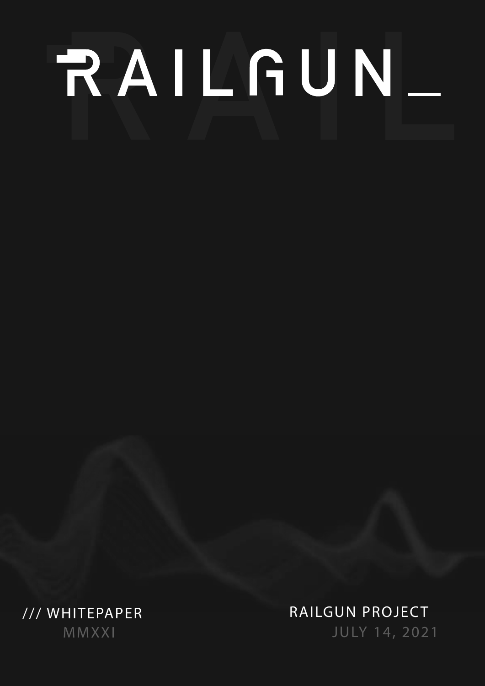# RAILGUN.



### RAILGUN PROJECT JULY 14, 2021

MMXXI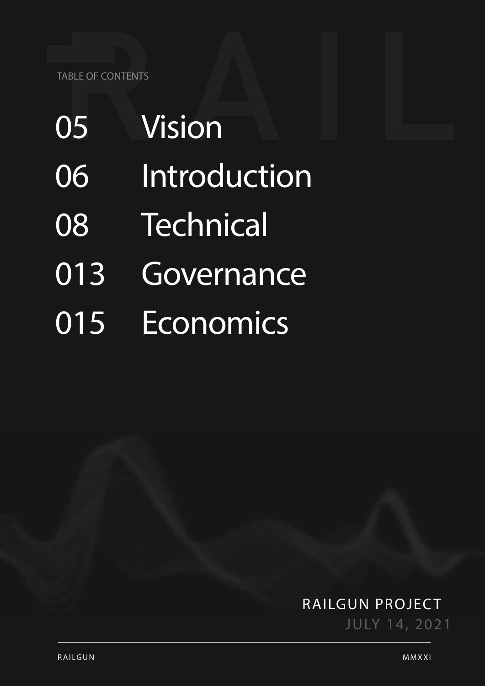TABLE OF CONTENTS

- Vision 05
- Introduction 06
- **Technical** 08
- **Governance** 013
- Economics 015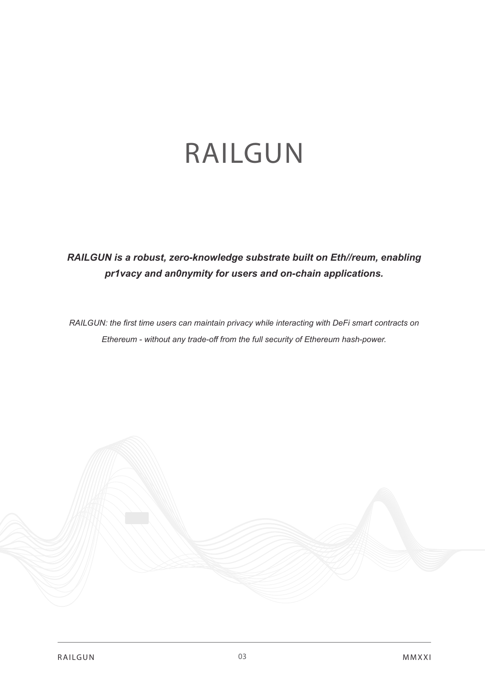# RAILGUN

*RAILGUN is a robust, zero-knowledge substrate built on Eth//reum, enabling pr1vacy and an0nymity for users and on-chain applications.*

*RAILGUN: the first time users can maintain privacy while interacting with DeFi smart contracts on Ethereum - without any trade-off from the full security of Ethereum hash-power.*

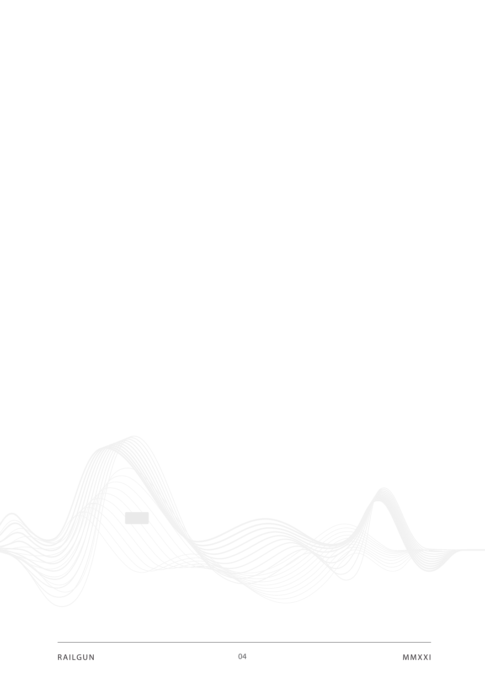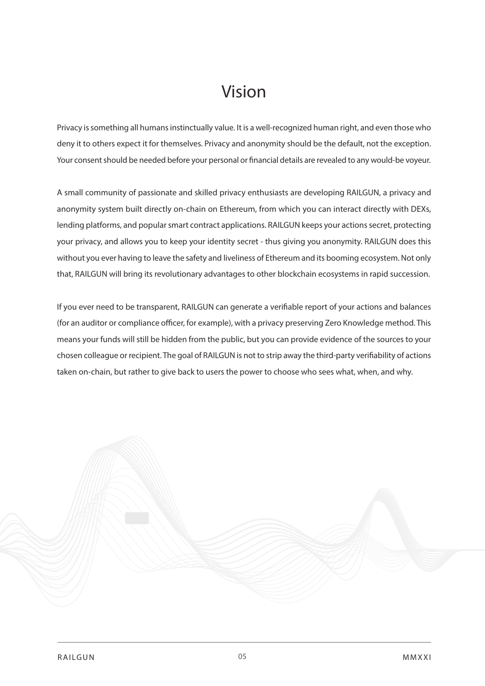# Vision

Privacy is something all humans instinctually value. It is a well-recognized human right, and even those who deny it to others expect it for themselves. Privacy and anonymity should be the default, not the exception. Your consent should be needed before your personal or financial details are revealed to any would-be voyeur.

A small community of passionate and skilled privacy enthusiasts are developing RAILGUN, a privacy and anonymity system built directly on-chain on Ethereum, from which you can interact directly with DEXs, lending platforms, and popular smart contract applications. RAILGUN keeps your actions secret, protecting your privacy, and allows you to keep your identity secret - thus giving you anonymity. RAILGUN does this without you ever having to leave the safety and liveliness of Ethereum and its booming ecosystem. Not only that, RAILGUN will bring its revolutionary advantages to other blockchain ecosystems in rapid succession.

If you ever need to be transparent, RAILGUN can generate a verifiable report of your actions and balances (for an auditor or compliance officer, for example), with a privacy preserving Zero Knowledge method. This means your funds will still be hidden from the public, but you can provide evidence of the sources to your chosen colleague or recipient. The goal of RAILGUN is not to strip away the third-party verifiability of actions taken on-chain, but rather to give back to users the power to choose who sees what, when, and why.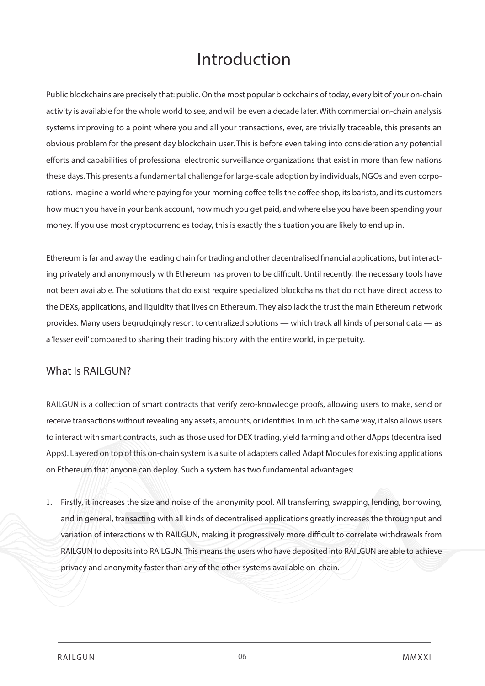## Introduction

Public blockchains are precisely that: public. On the most popular blockchains of today, every bit of your on-chain activity is available for the whole world to see, and will be even a decade later. With commercial on-chain analysis systems improving to a point where you and all your transactions, ever, are trivially traceable, this presents an obvious problem for the present day blockchain user. This is before even taking into consideration any potential efforts and capabilities of professional electronic surveillance organizations that exist in more than few nations these days. This presents a fundamental challenge for large-scale adoption by individuals, NGOs and even corporations. Imagine a world where paying for your morning coffee tells the coffee shop, its barista, and its customers how much you have in your bank account, how much you get paid, and where else you have been spending your money. If you use most cryptocurrencies today, this is exactly the situation you are likely to end up in.

Ethereum is far and away the leading chain for trading and other decentralised financial applications, but interacting privately and anonymously with Ethereum has proven to be difficult. Until recently, the necessary tools have not been available. The solutions that do exist require specialized blockchains that do not have direct access to the DEXs, applications, and liquidity that lives on Ethereum. They also lack the trust the main Ethereum network provides. Many users begrudgingly resort to centralized solutions — which track all kinds of personal data — as a 'lesser evil' compared to sharing their trading history with the entire world, in perpetuity.

#### What Is RAILGUN?

RAILGUN is a collection of smart contracts that verify zero-knowledge proofs, allowing users to make, send or receive transactions without revealing any assets, amounts, or identities. In much the same way, it also allows users to interact with smart contracts, such as those used for DEX trading, yield farming and other dApps (decentralised Apps). Layered on top of this on-chain system is a suite of adapters called Adapt Modules for existing applications on Ethereum that anyone can deploy. Such a system has two fundamental advantages:

1. Firstly, it increases the size and noise of the anonymity pool. All transferring, swapping, lending, borrowing, and in general, transacting with all kinds of decentralised applications greatly increases the throughput and variation of interactions with RAILGUN, making it progressively more difficult to correlate withdrawals from RAILGUN to deposits into RAILGUN. This means the users who have deposited into RAILGUN are able to achieve privacy and anonymity faster than any of the other systems available on-chain.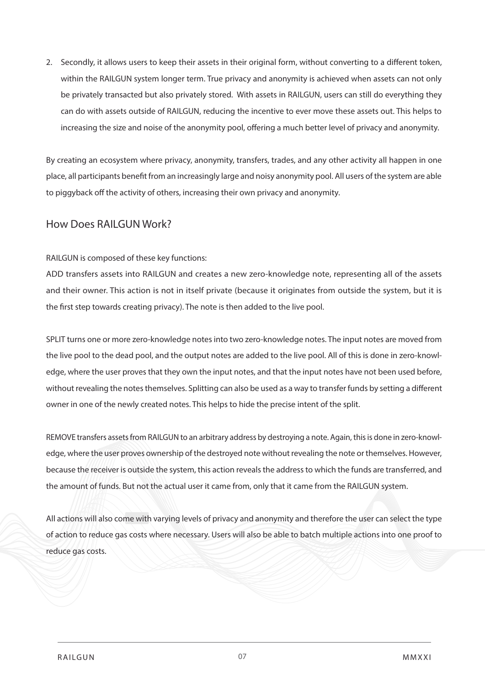2. Secondly, it allows users to keep their assets in their original form, without converting to a different token, within the RAILGUN system longer term. True privacy and anonymity is achieved when assets can not only be privately transacted but also privately stored. With assets in RAILGUN, users can still do everything they can do with assets outside of RAILGUN, reducing the incentive to ever move these assets out. This helps to increasing the size and noise of the anonymity pool, offering a much better level of privacy and anonymity.

By creating an ecosystem where privacy, anonymity, transfers, trades, and any other activity all happen in one place, all participants benefit from an increasingly large and noisy anonymity pool. All users of the system are able to piggyback off the activity of others, increasing their own privacy and anonymity.

#### How Does RAILGUN Work?

#### RAILGUN is composed of these key functions:

ADD transfers assets into RAILGUN and creates a new zero-knowledge note, representing all of the assets and their owner. This action is not in itself private (because it originates from outside the system, but it is the first step towards creating privacy). The note is then added to the live pool.

SPLIT turns one or more zero-knowledge notes into two zero-knowledge notes. The input notes are moved from the live pool to the dead pool, and the output notes are added to the live pool. All of this is done in zero-knowledge, where the user proves that they own the input notes, and that the input notes have not been used before, without revealing the notes themselves. Splitting can also be used as a way to transfer funds by setting a different owner in one of the newly created notes. This helps to hide the precise intent of the split.

REMOVE transfers assets from RAILGUN to an arbitrary address by destroying a note. Again, this is done in zero-knowledge, where the user proves ownership of the destroyed note without revealing the note or themselves. However, because the receiver is outside the system, this action reveals the address to which the funds are transferred, and the amount of funds. But not the actual user it came from, only that it came from the RAILGUN system.

All actions will also come with varying levels of privacy and anonymity and therefore the user can select the type of action to reduce gas costs where necessary. Users will also be able to batch multiple actions into one proof to reduce gas costs.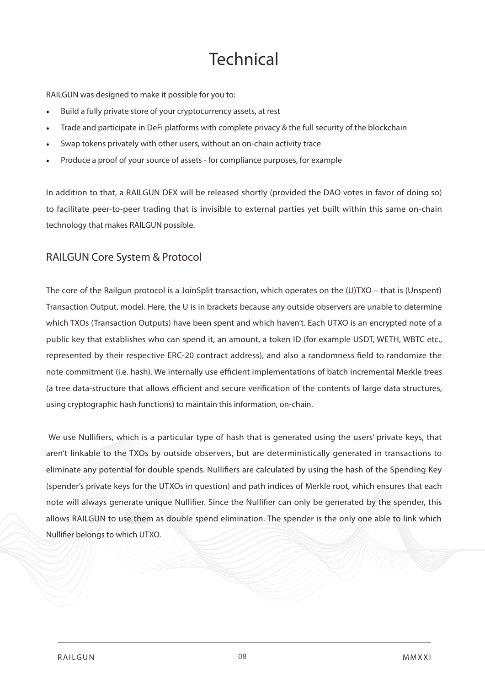# **Technical**

RAILGUN was designed to make it possible for you to:

- Build a fully private store of your cryptocurrency assets, at rest
- Trade and participate in DeFi platforms with complete privacy & the full security of the blockchain
- Swap tokens privately with other users, without an on-chain activity trace
- Produce a proof of your source of assets for compliance purposes, for example

In addition to that, a RAILGUN DEX will be released shortly (provided the DAO votes in favor of doing so) to facilitate peer-to-peer trading that is invisible to external parties yet built within this same on-chain technology that makes RAILGUN possible.

#### RAILGUN Core System & Protocol

The core of the Railgun protocol is a JoinSplit transaction, which operates on the (U)TXO – that is (Unspent) Transaction Output, model. Here, the U is in brackets because any outside observers are unable to determine which TXOs (Transaction Outputs) have been spent and which haven't. Each UTXO is an encrypted note of a public key that establishes who can spend it, an amount, a token ID (for example USDT, WETH, WBTC etc., represented by their respective ERC-20 contract address), and also a randomness field to randomize the note commitment (i.e. hash). We internally use efficient implementations of batch incremental Merkle trees (a tree data-structure that allows efficient and secure verification of the contents of large data structures, using cryptographic hash functions) to maintain this information, on-chain.

 We use Nullifiers, which is a particular type of hash that is generated using the users' private keys, that aren't linkable to the TXOs by outside observers, but are deterministically generated in transactions to eliminate any potential for double spends. Nullifiers are calculated by using the hash of the Spending Key (spender's private keys for the UTXOs in question) and path indices of Merkle root, which ensures that each note will always generate unique Nullifier. Since the Nullifier can only be generated by the spender, this allows RAILGUN to use them as double spend elimination. The spender is the only one able to link which Nullifier belongs to which UTXO.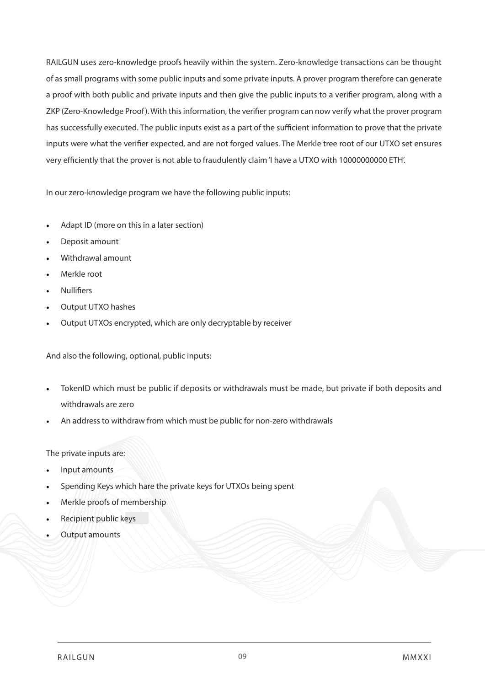RAILGUN uses zero-knowledge proofs heavily within the system. Zero-knowledge transactions can be thought of as small programs with some public inputs and some private inputs. A prover program therefore can generate a proof with both public and private inputs and then give the public inputs to a verifier program, along with a ZKP (Zero-Knowledge Proof). With this information, the verifier program can now verify what the prover program has successfully executed. The public inputs exist as a part of the sufficient information to prove that the private inputs were what the verifier expected, and are not forged values. The Merkle tree root of our UTXO set ensures very efficiently that the prover is not able to fraudulently claim 'I have a UTXO with 10000000000 ETH'.

In our zero-knowledge program we have the following public inputs:

- Adapt ID (more on this in a later section)
- Deposit amount
- Withdrawal amount
- Merkle root
- Nullifiers
- Output UTXO hashes
- Output UTXOs encrypted, which are only decryptable by receiver

And also the following, optional, public inputs:

- TokenID which must be public if deposits or withdrawals must be made, but private if both deposits and withdrawals are zero
- An address to withdraw from which must be public for non-zero withdrawals

#### The private inputs are:

- Input amounts
- Spending Keys which hare the private keys for UTXOs being spent
- Merkle proofs of membership
- Recipient public keys
- Output amounts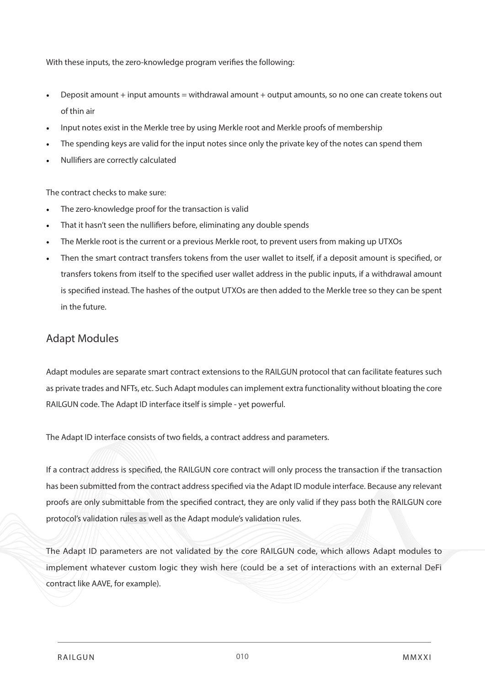With these inputs, the zero-knowledge program verifies the following:

- Deposit amount + input amounts = withdrawal amount + output amounts, so no one can create tokens out of thin air
- Input notes exist in the Merkle tree by using Merkle root and Merkle proofs of membership
- The spending keys are valid for the input notes since only the private key of the notes can spend them
- Nullifiers are correctly calculated

The contract checks to make sure:

- The zero-knowledge proof for the transaction is valid
- That it hasn't seen the nullifiers before, eliminating any double spends
- The Merkle root is the current or a previous Merkle root, to prevent users from making up UTXOs
- Then the smart contract transfers tokens from the user wallet to itself, if a deposit amount is specified, or transfers tokens from itself to the specified user wallet address in the public inputs, if a withdrawal amount is specified instead. The hashes of the output UTXOs are then added to the Merkle tree so they can be spent in the future.

#### Adapt Modules

Adapt modules are separate smart contract extensions to the RAILGUN protocol that can facilitate features such as private trades and NFTs, etc. Such Adapt modules can implement extra functionality without bloating the core RAILGUN code. The Adapt ID interface itself is simple - yet powerful.

The Adapt ID interface consists of two fields, a contract address and parameters.

If a contract address is specified, the RAILGUN core contract will only process the transaction if the transaction has been submitted from the contract address specified via the Adapt ID module interface. Because any relevant proofs are only submittable from the specified contract, they are only valid if they pass both the RAILGUN core protocol's validation rules as well as the Adapt module's validation rules.

The Adapt ID parameters are not validated by the core RAILGUN code, which allows Adapt modules to implement whatever custom logic they wish here (could be a set of interactions with an external DeFi contract like AAVE, for example).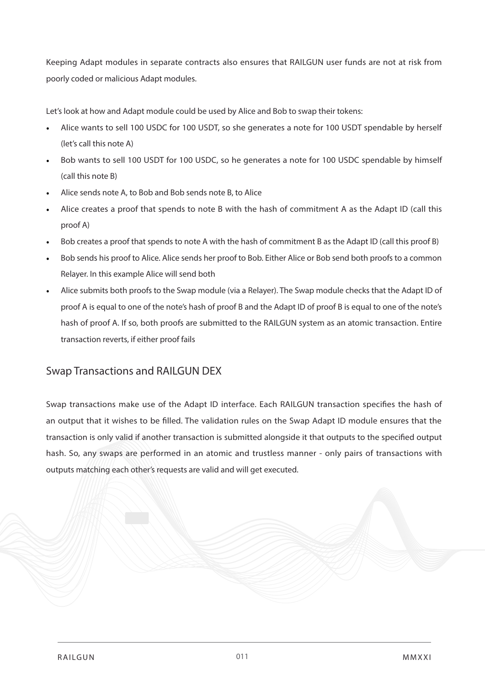Keeping Adapt modules in separate contracts also ensures that RAILGUN user funds are not at risk from poorly coded or malicious Adapt modules.

Let's look at how and Adapt module could be used by Alice and Bob to swap their tokens:

- Alice wants to sell 100 USDC for 100 USDT, so she generates a note for 100 USDT spendable by herself (let's call this note A)
- Bob wants to sell 100 USDT for 100 USDC, so he generates a note for 100 USDC spendable by himself (call this note B)
- Alice sends note A, to Bob and Bob sends note B, to Alice
- Alice creates a proof that spends to note B with the hash of commitment A as the Adapt ID (call this proof A)
- Bob creates a proof that spends to note A with the hash of commitment B as the Adapt ID (call this proof B)
- Bob sends his proof to Alice. Alice sends her proof to Bob. Either Alice or Bob send both proofs to a common Relayer. In this example Alice will send both
- Alice submits both proofs to the Swap module (via a Relayer). The Swap module checks that the Adapt ID of proof A is equal to one of the note's hash of proof B and the Adapt ID of proof B is equal to one of the note's hash of proof A. If so, both proofs are submitted to the RAILGUN system as an atomic transaction. Entire transaction reverts, if either proof fails

#### Swap Transactions and RAILGUN DEX

Swap transactions make use of the Adapt ID interface. Each RAILGUN transaction specifies the hash of an output that it wishes to be filled. The validation rules on the Swap Adapt ID module ensures that the transaction is only valid if another transaction is submitted alongside it that outputs to the specified output hash. So, any swaps are performed in an atomic and trustless manner - only pairs of transactions with outputs matching each other's requests are valid and will get executed.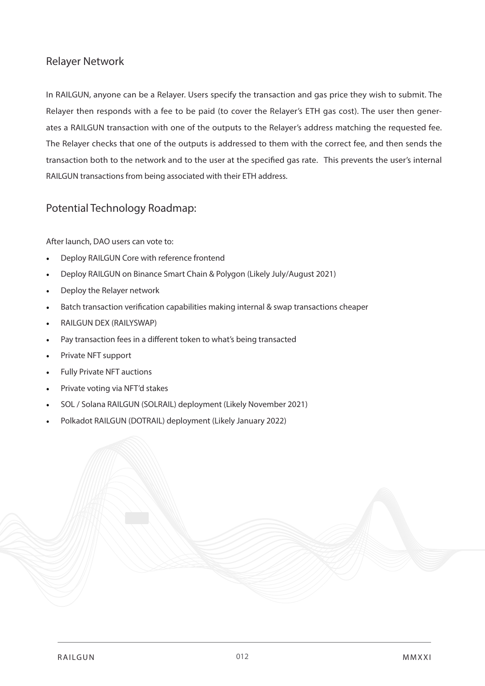#### Relayer Network

In RAILGUN, anyone can be a Relayer. Users specify the transaction and gas price they wish to submit. The Relayer then responds with a fee to be paid (to cover the Relayer's ETH gas cost). The user then generates a RAILGUN transaction with one of the outputs to the Relayer's address matching the requested fee. The Relayer checks that one of the outputs is addressed to them with the correct fee, and then sends the transaction both to the network and to the user at the specified gas rate. This prevents the user's internal RAILGUN transactions from being associated with their ETH address.

#### Potential Technology Roadmap:

After launch, DAO users can vote to:

- Deploy RAILGUN Core with reference frontend
- Deploy RAILGUN on Binance Smart Chain & Polygon (Likely July/August 2021)
- Deploy the Relayer network
- Batch transaction verification capabilities making internal & swap transactions cheaper
- RAILGUN DEX (RAILYSWAP)
- Pay transaction fees in a different token to what's being transacted
- Private NFT support
- Fully Private NFT auctions
- Private voting via NFT'd stakes
- SOL / Solana RAILGUN (SOLRAIL) deployment (Likely November 2021)
- Polkadot RAILGUN (DOTRAIL) deployment (Likely January 2022)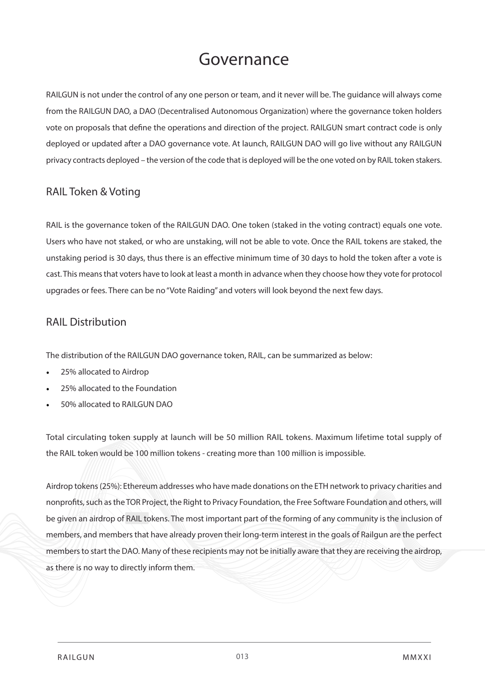## Governance

RAILGUN is not under the control of any one person or team, and it never will be. The guidance will always come from the RAILGUN DAO, a DAO (Decentralised Autonomous Organization) where the governance token holders vote on proposals that define the operations and direction of the project. RAILGUN smart contract code is only deployed or updated after a DAO governance vote. At launch, RAILGUN DAO will go live without any RAILGUN privacy contracts deployed – the version of the code that is deployed will be the one voted on by RAIL token stakers.

#### RAIL Token & Voting

RAIL is the governance token of the RAILGUN DAO. One token (staked in the voting contract) equals one vote. Users who have not staked, or who are unstaking, will not be able to vote. Once the RAIL tokens are staked, the unstaking period is 30 days, thus there is an effective minimum time of 30 days to hold the token after a vote is cast. This means that voters have to look at least a month in advance when they choose how they vote for protocol upgrades or fees. There can be no "Vote Raiding" and voters will look beyond the next few days.

#### RAIL Distribution

The distribution of the RAILGUN DAO governance token, RAIL, can be summarized as below:

- 25% allocated to Airdrop
- 25% allocated to the Foundation
- 50% allocated to RAILGUN DAO

Total circulating token supply at launch will be 50 million RAIL tokens. Maximum lifetime total supply of the RAIL token would be 100 million tokens - creating more than 100 million is impossible.

Airdrop tokens (25%): Ethereum addresses who have made donations on the ETH network to privacy charities and nonprofits, such as the TOR Project, the Right to Privacy Foundation, the Free Software Foundation and others, will be given an airdrop of RAIL tokens. The most important part of the forming of any community is the inclusion of members, and members that have already proven their long-term interest in the goals of Railgun are the perfect members to start the DAO. Many of these recipients may not be initially aware that they are receiving the airdrop, as there is no way to directly inform them.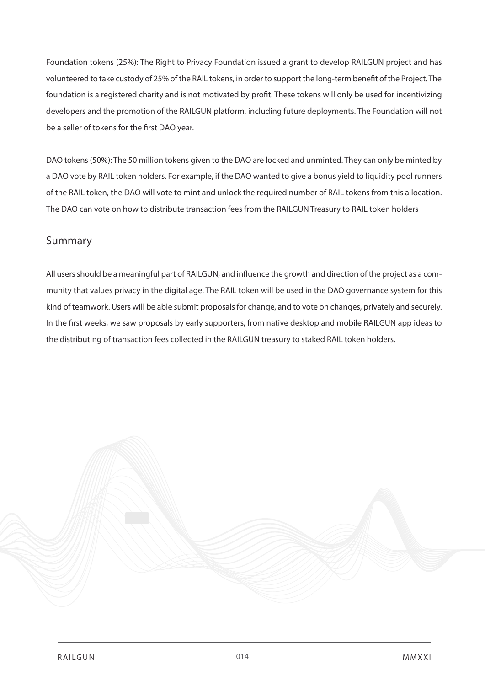Foundation tokens (25%): The Right to Privacy Foundation issued a grant to develop RAILGUN project and has volunteered to take custody of 25% of the RAIL tokens, in order to support the long-term benefit of the Project. The foundation is a registered charity and is not motivated by profit. These tokens will only be used for incentivizing developers and the promotion of the RAILGUN platform, including future deployments. The Foundation will not be a seller of tokens for the first DAO year.

DAO tokens (50%): The 50 million tokens given to the DAO are locked and unminted. They can only be minted by a DAO vote by RAIL token holders. For example, if the DAO wanted to give a bonus yield to liquidity pool runners of the RAIL token, the DAO will vote to mint and unlock the required number of RAIL tokens from this allocation. The DAO can vote on how to distribute transaction fees from the RAILGUN Treasury to RAIL token holders

#### Summary

All users should be a meaningful part of RAILGUN, and influence the growth and direction of the project as a community that values privacy in the digital age. The RAIL token will be used in the DAO governance system for this kind of teamwork. Users will be able submit proposals for change, and to vote on changes, privately and securely. In the first weeks, we saw proposals by early supporters, from native desktop and mobile RAILGUN app ideas to the distributing of transaction fees collected in the RAILGUN treasury to staked RAIL token holders.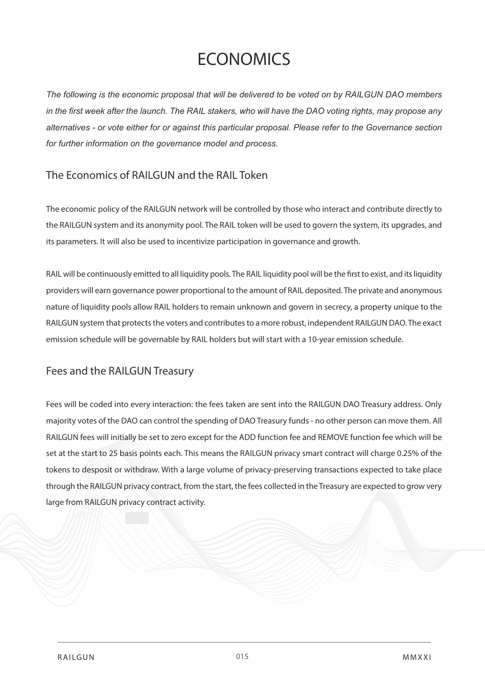# **ECONOMICS**

*The following is the economic proposal that will be delivered to be voted on by RAILGUN DAO members in the first week after the launch. The RAIL stakers, who will have the DAO voting rights, may propose any alternatives - or vote either for or against this particular proposal. Please refer to the Governance section for further information on the governance model and process.*

#### The Economics of RAILGUN and the RAIL Token

The economic policy of the RAILGUN network will be controlled by those who interact and contribute directly to the RAILGUN system and its anonymity pool. The RAIL token will be used to govern the system, its upgrades, and its parameters. It will also be used to incentivize participation in governance and growth.

RAIL will be continuously emitted to all liquidity pools. The RAIL liquidity pool will be the first to exist, and its liquidity providers will earn governance power proportional to the amount of RAIL deposited. The private and anonymous nature of liquidity pools allow RAIL holders to remain unknown and govern in secrecy, a property unique to the RAILGUN system that protects the voters and contributes to a more robust, independent RAILGUN DAO. The exact emission schedule will be governable by RAIL holders but will start with a 10-year emission schedule.

#### Fees and the RAILGUN Treasury

Fees will be coded into every interaction: the fees taken are sent into the RAILGUN DAO Treasury address. Only majority votes of the DAO can control the spending of DAO Treasury funds - no other person can move them. All RAILGUN fees will initially be set to zero except for the ADD function fee and REMOVE function fee which will be set at the start to 25 basis points each. This means the RAILGUN privacy smart contract will charge 0.25% of the tokens to desposit or withdraw. With a large volume of privacy-preserving transactions expected to take place through the RAILGUN privacy contract, from the start, the fees collected in the Treasury are expected to grow very large from RAILGUN privacy contract activity.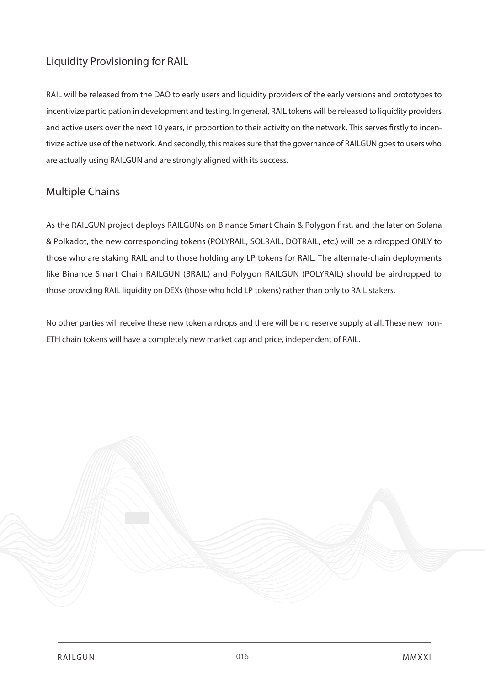#### Liquidity Provisioning for RAIL

RAIL will be released from the DAO to early users and liquidity providers of the early versions and prototypes to incentivize participation in development and testing. In general, RAIL tokens will be released to liquidity providers and active users over the next 10 years, in proportion to their activity on the network. This serves firstly to incentivize active use of the network. And secondly, this makes sure that the governance of RAILGUN goes to users who are actually using RAILGUN and are strongly aligned with its success.

#### Multiple Chains

As the RAILGUN project deploys RAILGUNs on Binance Smart Chain & Polygon first, and the later on Solana & Polkadot, the new corresponding tokens (POLYRAIL, SOLRAIL, DOTRAIL, etc.) will be airdropped ONLY to those who are staking RAIL and to those holding any LP tokens for RAIL. The alternate-chain deployments like Binance Smart Chain RAILGUN (BRAIL) and Polygon RAILGUN (POLYRAIL) should be airdropped to those providing RAIL liquidity on DEXs (those who hold LP tokens) rather than only to RAIL stakers.

No other parties will receive these new token airdrops and there will be no reserve supply at all. These new non-ETH chain tokens will have a completely new market cap and price, independent of RAIL.